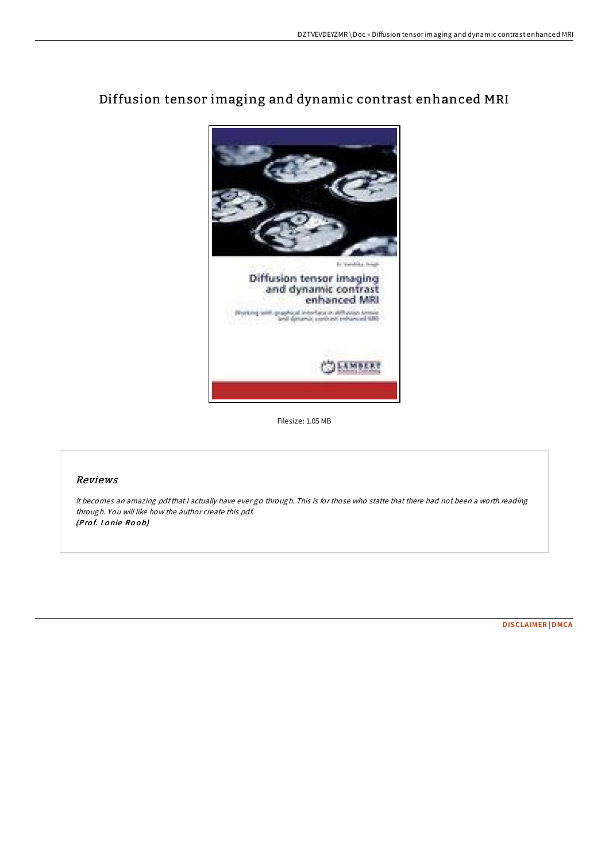# Diffusion tensor imaging and dynamic contrast enhanced MRI



Filesize: 1.05 MB

# Reviews

It becomes an amazing pdfthat <sup>I</sup> actually have ever go through. This is for those who statte that there had not been <sup>a</sup> worth reading through. You will like how the author create this pdf. (Prof. Lonie Roob)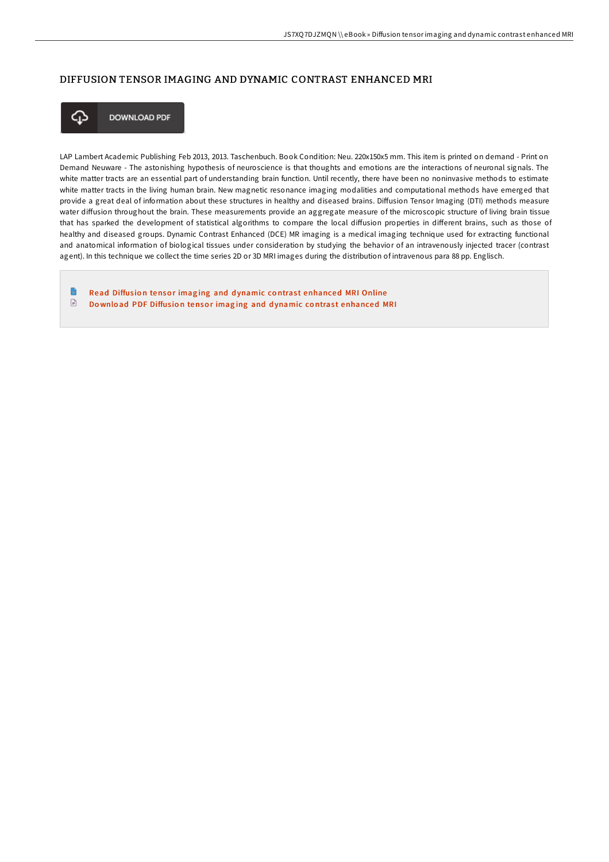# DIFFUSION TENSOR IMAGING AND DYNAMIC CONTRAST ENHANCED MRI



**DOWNLOAD PDF** 

LAP Lambert Academic Publishing Feb 2013, 2013. Taschenbuch. Book Condition: Neu. 220x150x5 mm. This item is printed on demand - Print on Demand Neuware - The astonishing hypothesis of neuroscience is that thoughts and emotions are the interactions of neuronal signals. The white matter tracts are an essential part of understanding brain function. Until recently, there have been no noninvasive methods to estimate white matter tracts in the living human brain. New magnetic resonance imaging modalities and computational methods have emerged that provide a great deal of information about these structures in healthy and diseased brains. Diffusion Tensor Imaging (DTI) methods measure water diffusion throughout the brain. These measurements provide an aggregate measure of the microscopic structure of living brain tissue that has sparked the development of statistical algorithms to compare the local diffusion properties in different brains, such as those of healthy and diseased groups. Dynamic Contrast Enhanced (DCE) MR imaging is a medical imaging technique used for extracting functional and anatomical information of biological tissues under consideration by studying the behavior of an intravenously injected tracer (contrast agent). In this technique we collect the time series 2D or 3D MRI images during the distribution of intravenous para 88 pp. Englisch.

œ Read Diffusion tensor imaging and dynamic contrast [enhanced](http://almighty24.tech/diffusion-tensor-imaging-and-dynamic-contrast-en.html) MRI Online  $\textcolor{red}{\Box}$ Download PDF Diffusion tensor imaging and dynamic contrast [enhanced](http://almighty24.tech/diffusion-tensor-imaging-and-dynamic-contrast-en.html) MRI